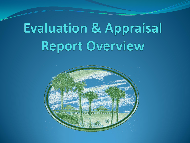# **Evaluation & Appraisal** Report Overview

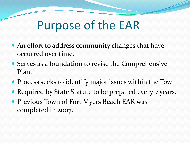#### Purpose of the EAR

- An effort to address community changes that have occurred over time.
- Serves as a foundation to revise the Comprehensive Plan.
- Process seeks to identify major issues within the Town.
- Required by State Statute to be prepared every 7 years.
- **Previous Town of Fort Myers Beach EAR was** completed in 2007.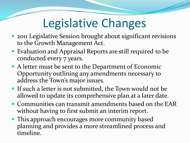# Legislative Changes

- 2011 Legislative Session brought about significant revisions to the Growth Management Act.
- Evaluation and Appraisal Reports are still required to be conducted every 7 years.
- A letter must be sent to the Department of Economic Opportunity outlining any amendments necessary to address the Town's major issues.
- If such a letter is not submitted, the Town would not be allowed to update its comprehensive plan at a later date.
- Communities can transmit amendments based on the EAR without having to first submit an interim report.
- This approach encourages more community based planning and provides a more streamlined process and timeline.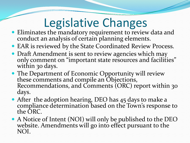# Legislative Changes

- Eliminates the mandatory requirement to review data and conduct an analysis of certain planning elements.
- EAR is reviewed by the State Coordinated Review Process.
- Draft Amendment is sent to review agencies which may only comment on "important state resources and facilities" within 30 days.
- The Department of Economic Opportunity will review these comments and compile an Objections, Recommendations, and Comments (ORC) report within 30 days.
- After the adoption hearing, DEO has 45 days to make a compliance determination based on the Town's response to the ORC.
- A Notice of Intent (NOI) will only be published to the DEO website. Amendments will go into effect pursuant to the NOI.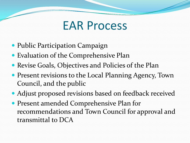#### EAR Process

- Public Participation Campaign
- Evaluation of the Comprehensive Plan
- Revise Goals, Objectives and Policies of the Plan
- Present revisions to the Local Planning Agency, Town Council, and the public
- Adjust proposed revisions based on feedback received
- Present amended Comprehensive Plan for recommendations and Town Council for approval and transmittal to DCA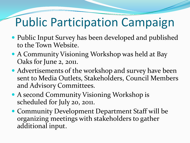## Public Participation Campaign

- Public Input Survey has been developed and published to the Town Website.
- A Community Visioning Workshop was held at Bay Oaks for June 2, 2011.
- Advertisements of the workshop and survey have been sent to Media Outlets, Stakeholders, Council Members and Advisory Committees.
- A second Community Visioning Workshop is scheduled for July 20, 2011.
- Community Development Department Staff will be organizing meetings with stakeholders to gather additional input.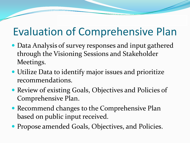#### Evaluation of Comprehensive Plan

- Data Analysis of survey responses and input gathered through the Visioning Sessions and Stakeholder Meetings.
- Utilize Data to identify major issues and prioritize recommendations.
- Review of existing Goals, Objectives and Policies of Comprehensive Plan.
- Recommend changes to the Comprehensive Plan based on public input received.
- Propose amended Goals, Objectives, and Policies.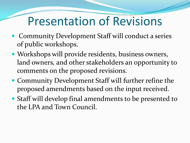#### Presentation of Revisions

- Community Development Staff will conduct a series of public workshops.
- Workshops will provide residents, business owners, land owners, and other stakeholders an opportunity to comments on the proposed revisions.
- Community Development Staff will further refine the proposed amendments based on the input received.
- Staff will develop final amendments to be presented to the LPA and Town Council.